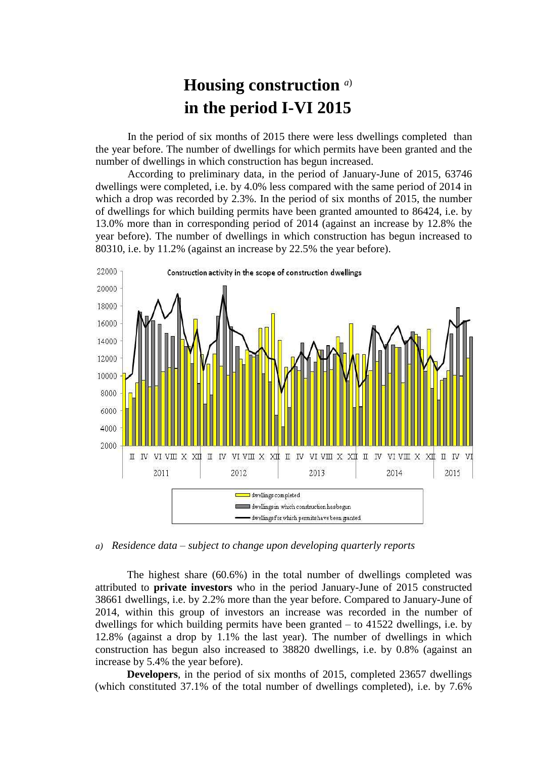## **Housing construction** *a*) **in the period I-VI 2015**

In the period of six months of 2015 there were less dwellings completed than the year before. The number of dwellings for which permits have been granted and the number of dwellings in which construction has begun increased.

According to preliminary data, in the period of January-June of 2015, 63746 dwellings were completed, i.e. by 4.0% less compared with the same period of 2014 in which a drop was recorded by 2.3%. In the period of six months of 2015, the number of dwellings for which building permits have been granted amounted to 86424, i.e. by 13.0% more than in corresponding period of 2014 (against an increase by 12.8% the year before). The number of dwellings in which construction has begun increased to 80310, i.e. by 11.2% (against an increase by 22.5% the year before).



*a) Residence data – subject to change upon developing quarterly reports*

The highest share (60.6%) in the total number of dwellings completed was attributed to **private investors** who in the period January-June of 2015 constructed 38661 dwellings, i.e. by 2.2% more than the year before. Compared to January-June of 2014, within this group of investors an increase was recorded in the number of dwellings for which building permits have been granted – to 41522 dwellings, i.e. by 12.8% (against a drop by 1.1% the last year). The number of dwellings in which construction has begun also increased to 38820 dwellings, i.e. by 0.8% (against an increase by 5.4% the year before).

**Developers**, in the period of six months of 2015, completed 23657 dwellings (which constituted 37.1% of the total number of dwellings completed), i.e. by 7.6%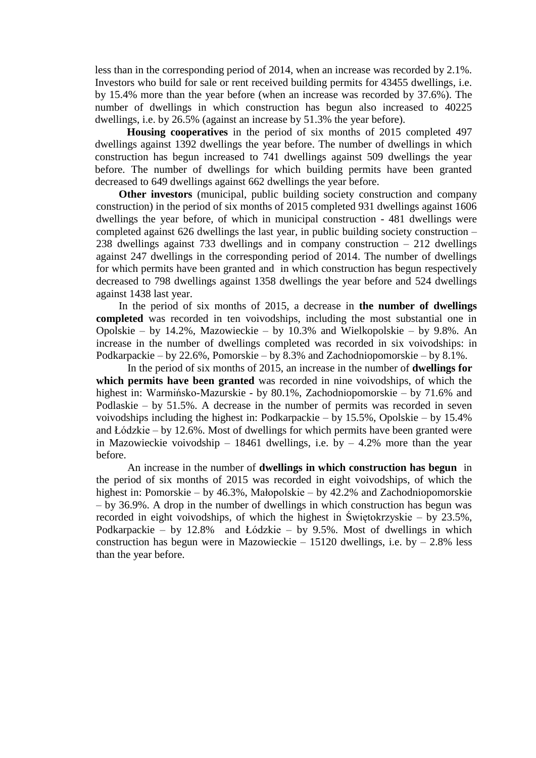less than in the corresponding period of 2014, when an increase was recorded by 2.1%. Investors who build for sale or rent received building permits for 43455 dwellings, i.e. by 15.4% more than the year before (when an increase was recorded by 37.6%). The number of dwellings in which construction has begun also increased to 40225 dwellings, i.e. by 26.5% (against an increase by 51.3% the year before).

**Housing cooperatives** in the period of six months of 2015 completed 497 dwellings against 1392 dwellings the year before. The number of dwellings in which construction has begun increased to 741 dwellings against 509 dwellings the year before. The number of dwellings for which building permits have been granted decreased to 649 dwellings against 662 dwellings the year before.

**Other investors** (municipal, public building society construction and company construction) in the period of six months of 2015 completed 931 dwellings against 1606 dwellings the year before, of which in municipal construction - 481 dwellings were completed against 626 dwellings the last year, in public building society construction – 238 dwellings against 733 dwellings and in company construction – 212 dwellings against 247 dwellings in the corresponding period of 2014. The number of dwellings for which permits have been granted and in which construction has begun respectively decreased to 798 dwellings against 1358 dwellings the year before and 524 dwellings against 1438 last year.

In the period of six months of 2015, a decrease in **the number of dwellings completed** was recorded in ten voivodships, including the most substantial one in Opolskie – by 14.2%, Mazowieckie – by 10.3% and Wielkopolskie – by 9.8%. An increase in the number of dwellings completed was recorded in six voivodships: in Podkarpackie – by 22.6%, Pomorskie – by 8.3% and Zachodniopomorskie – by 8.1%.

In the period of six months of 2015, an increase in the number of **dwellings for which permits have been granted** was recorded in nine voivodships, of which the highest in: Warmińsko-Mazurskie - by 80.1%, Zachodniopomorskie – by 71.6% and Podlaskie – by 51.5%. A decrease in the number of permits was recorded in seven voivodships including the highest in: Podkarpackie – by 15.5%, Opolskie – by 15.4% and Łódzkie – by 12.6%. Most of dwellings for which permits have been granted were in Mazowieckie voivodship – 18461 dwellings, i.e. by – 4.2% more than the year before.

An increase in the number of **dwellings in which construction has begun** in the period of six months of 2015 was recorded in eight voivodships, of which the highest in: Pomorskie – by 46.3%, Małopolskie – by 42.2% and Zachodniopomorskie – by 36.9%. A drop in the number of dwellings in which construction has begun was recorded in eight voivodships, of which the highest in Świętokrzyskie – by 23.5%, Podkarpackie – by 12.8% and Łódzkie – by 9.5%. Most of dwellings in which construction has begun were in Mazowieckie – 15120 dwellings, i.e. by – 2.8% less than the year before.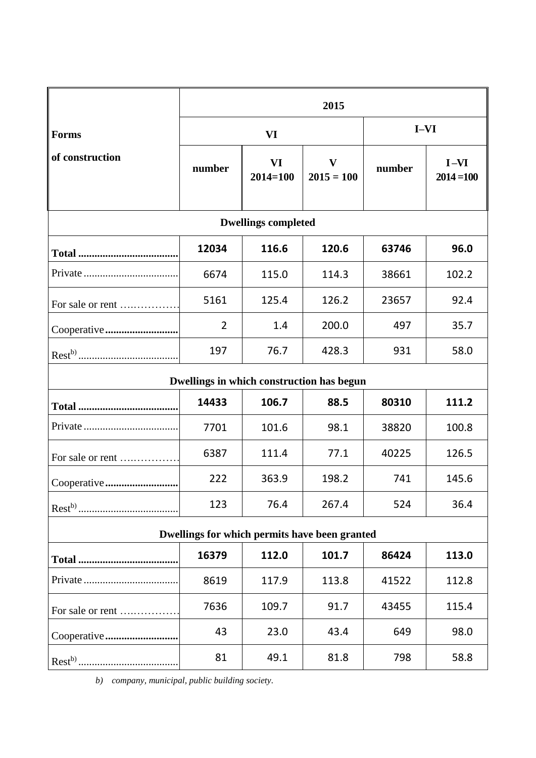|                                               | 2015           |                           |                              |        |                        |
|-----------------------------------------------|----------------|---------------------------|------------------------------|--------|------------------------|
| <b>Forms</b>                                  | <b>VI</b>      |                           |                              | $I-VI$ |                        |
| of construction                               | number         | <b>VI</b><br>$2014 = 100$ | $\mathbf{V}$<br>$2015 = 100$ | number | $I-NI$<br>$2014 = 100$ |
| <b>Dwellings completed</b>                    |                |                           |                              |        |                        |
|                                               | 12034          | 116.6                     | 120.6                        | 63746  | 96.0                   |
|                                               | 6674           | 115.0                     | 114.3                        | 38661  | 102.2                  |
| For sale or rent                              | 5161           | 125.4                     | 126.2                        | 23657  | 92.4                   |
| Cooperative                                   | $\overline{2}$ | 1.4                       | 200.0                        | 497    | 35.7                   |
|                                               | 197            | 76.7                      | 428.3                        | 931    | 58.0                   |
| Dwellings in which construction has begun     |                |                           |                              |        |                        |
|                                               | 14433          | 106.7                     | 88.5                         | 80310  | 111.2                  |
|                                               | 7701           | 101.6                     | 98.1                         | 38820  | 100.8                  |
| For sale or rent                              | 6387           | 111.4                     | 77.1                         | 40225  | 126.5                  |
|                                               | 222            | 363.9                     | 198.2                        | 741    | 145.6                  |
|                                               | 123            | 76.4                      | 267.4                        | 524    | 36.4                   |
| Dwellings for which permits have been granted |                |                           |                              |        |                        |
|                                               | 16379          | 112.0                     | 101.7                        | 86424  | 113.0                  |
|                                               | 8619           | 117.9                     | 113.8                        | 41522  | 112.8                  |
| For sale or rent                              | 7636           | 109.7                     | 91.7                         | 43455  | 115.4                  |
|                                               | 43             | 23.0                      | 43.4                         | 649    | 98.0                   |
|                                               | 81             | 49.1                      | 81.8                         | 798    | 58.8                   |

*b) company, municipal, public building society.*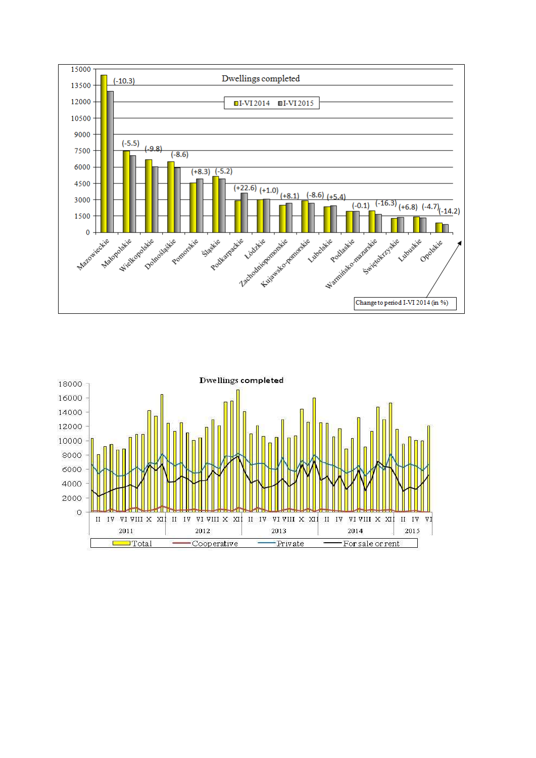